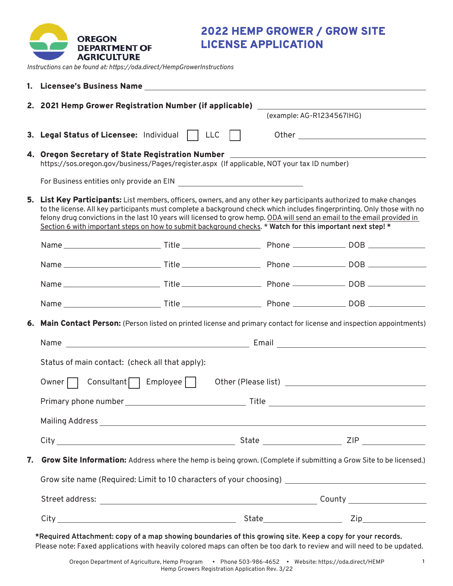

2022 HEMP GROWER / GROW SITE LICENSE APPLICATION

*Instructions can be found at: https://oda.direct/HempGrowerInstructions*

|                                                                                                                                                                                                                                                                                                                                                                                                                                                                                          | 1. Licensee's Business Name <b>Exercía de Senato de Senato de Senato de Senato de Senato de Senato de Senato de S</b>                                                           |  |                           |  |  |
|------------------------------------------------------------------------------------------------------------------------------------------------------------------------------------------------------------------------------------------------------------------------------------------------------------------------------------------------------------------------------------------------------------------------------------------------------------------------------------------|---------------------------------------------------------------------------------------------------------------------------------------------------------------------------------|--|---------------------------|--|--|
|                                                                                                                                                                                                                                                                                                                                                                                                                                                                                          | 2. 2021 Hemp Grower Registration Number (if applicable) ________________________                                                                                                |  | (example: AG-R1234567IHG) |  |  |
|                                                                                                                                                                                                                                                                                                                                                                                                                                                                                          | 3. Legal Status of Licensee: Individual   LLC                                                                                                                                   |  |                           |  |  |
|                                                                                                                                                                                                                                                                                                                                                                                                                                                                                          | 4. Oregon Secretary of State Registration Number _______________________________<br>https://sos.oregon.gov/business/Pages/register.aspx (If applicable, NOT your tax ID number) |  |                           |  |  |
|                                                                                                                                                                                                                                                                                                                                                                                                                                                                                          |                                                                                                                                                                                 |  |                           |  |  |
| 5. List Key Participants: List members, officers, owners, and any other key participants authorized to make changes<br>to the license. All key participants must complete a background check which includes fingerprinting. Only those with no<br>felony drug convictions in the last 10 years will licensed to grow hemp. ODA will send an email to the email provided in<br>Section 6 with important steps on how to submit background checks. * Watch for this important next step! * |                                                                                                                                                                                 |  |                           |  |  |
|                                                                                                                                                                                                                                                                                                                                                                                                                                                                                          |                                                                                                                                                                                 |  |                           |  |  |
|                                                                                                                                                                                                                                                                                                                                                                                                                                                                                          |                                                                                                                                                                                 |  |                           |  |  |
|                                                                                                                                                                                                                                                                                                                                                                                                                                                                                          |                                                                                                                                                                                 |  |                           |  |  |
|                                                                                                                                                                                                                                                                                                                                                                                                                                                                                          |                                                                                                                                                                                 |  |                           |  |  |
|                                                                                                                                                                                                                                                                                                                                                                                                                                                                                          | <b>6. Main Contact Person:</b> (Person listed on printed license and primary contact for license and inspection appointments)                                                   |  |                           |  |  |
|                                                                                                                                                                                                                                                                                                                                                                                                                                                                                          |                                                                                                                                                                                 |  |                           |  |  |
|                                                                                                                                                                                                                                                                                                                                                                                                                                                                                          | Status of main contact: (check all that apply):                                                                                                                                 |  |                           |  |  |
|                                                                                                                                                                                                                                                                                                                                                                                                                                                                                          | Owner $\Box$ Consultant $\Box$ Employee $\Box$                                                                                                                                  |  |                           |  |  |
|                                                                                                                                                                                                                                                                                                                                                                                                                                                                                          |                                                                                                                                                                                 |  |                           |  |  |
|                                                                                                                                                                                                                                                                                                                                                                                                                                                                                          |                                                                                                                                                                                 |  |                           |  |  |
|                                                                                                                                                                                                                                                                                                                                                                                                                                                                                          |                                                                                                                                                                                 |  |                           |  |  |
| 7.                                                                                                                                                                                                                                                                                                                                                                                                                                                                                       | <b>Grow Site Information:</b> Address where the hemp is being grown. (Complete if submitting a Grow Site to be licensed.)                                                       |  |                           |  |  |
|                                                                                                                                                                                                                                                                                                                                                                                                                                                                                          | Grow site name (Required: Limit to 10 characters of your choosing) _________________________________                                                                            |  |                           |  |  |
|                                                                                                                                                                                                                                                                                                                                                                                                                                                                                          |                                                                                                                                                                                 |  |                           |  |  |
|                                                                                                                                                                                                                                                                                                                                                                                                                                                                                          |                                                                                                                                                                                 |  |                           |  |  |
|                                                                                                                                                                                                                                                                                                                                                                                                                                                                                          | *Required Attachment: copy of a map showing boundaries of this growing site. Keep a copy for your records.                                                                      |  |                           |  |  |

Please note: Faxed applications with heavily colored maps can often be too dark to review and will need to be updated.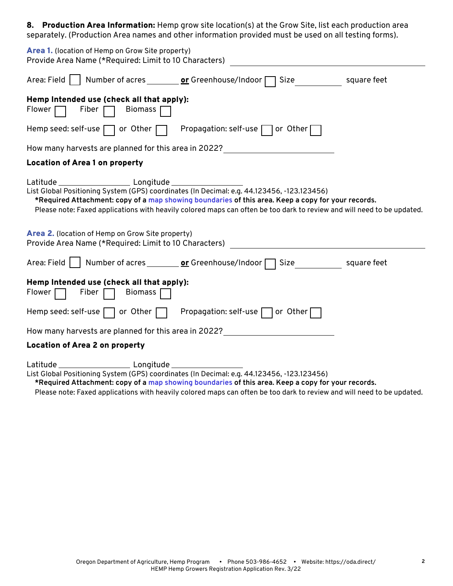8. Production Area Information: Hemp grow site location(s) at the Grow Site, list each production area separately. (Production Area names and other information provided must be used on all testing forms).

| Area 1. (location of Hemp on Grow Site property)<br>Provide Area Name (*Required: Limit to 10 Characters)                                                                                                                                                                                                                                                  |  |  |  |  |  |  |
|------------------------------------------------------------------------------------------------------------------------------------------------------------------------------------------------------------------------------------------------------------------------------------------------------------------------------------------------------------|--|--|--|--|--|--|
| Area: Field Number of acres _________ or Greenhouse/Indoor T Size<br>square feet                                                                                                                                                                                                                                                                           |  |  |  |  |  |  |
| Hemp Intended use (check all that apply):<br>Flower $\Box$ Fiber $\Box$ Biomass $\Box$                                                                                                                                                                                                                                                                     |  |  |  |  |  |  |
| Hemp seed: self-use $\Box$ or Other $\Box$ Propagation: self-use $\Box$ or Other $\Box$                                                                                                                                                                                                                                                                    |  |  |  |  |  |  |
| How many harvests are planned for this area in 2022? ___________________________                                                                                                                                                                                                                                                                           |  |  |  |  |  |  |
| <b>Location of Area 1 on property</b>                                                                                                                                                                                                                                                                                                                      |  |  |  |  |  |  |
| Latitude Longitude Longitude<br>List Global Positioning System (GPS) coordinates (In Decimal: e.g. 44.123456, -123.123456)<br>*Required Attachment: copy of a map showing boundaries of this area. Keep a copy for your records.<br>Please note: Faxed applications with heavily colored maps can often be too dark to review and will need to be updated. |  |  |  |  |  |  |
| Area 2. (location of Hemp on Grow Site property)<br>Provide Area Name (*Required: Limit to 10 Characters)                                                                                                                                                                                                                                                  |  |  |  |  |  |  |
| square feet                                                                                                                                                                                                                                                                                                                                                |  |  |  |  |  |  |
| Hemp Intended use (check all that apply):<br>Flower $\Box$ Fiber $\Box$ Biomass $\Box$                                                                                                                                                                                                                                                                     |  |  |  |  |  |  |
| Hemp seed: self-use $\Box$ or Other $\Box$<br>Propagation: self-use $\Box$ or Other $\Box$                                                                                                                                                                                                                                                                 |  |  |  |  |  |  |
| How many harvests are planned for this area in 2022? ___________________________                                                                                                                                                                                                                                                                           |  |  |  |  |  |  |
| <b>Location of Area 2 on property</b>                                                                                                                                                                                                                                                                                                                      |  |  |  |  |  |  |
|                                                                                                                                                                                                                                                                                                                                                            |  |  |  |  |  |  |

List Global Positioning System (GPS) coordinates (In Decimal: e.g. 44.123456, -123.123456)

**\*Required Attachment: copy of a [map showing boundaries](https://geo.maps.arcgis.com/apps/webappviewer/index.html?id=7beca1a570c24ad6bfbb906fafb0d3b9) of this area. Keep a copy for your records.**

Please note: Faxed applications with heavily colored maps can often be too dark to review and will need to be updated.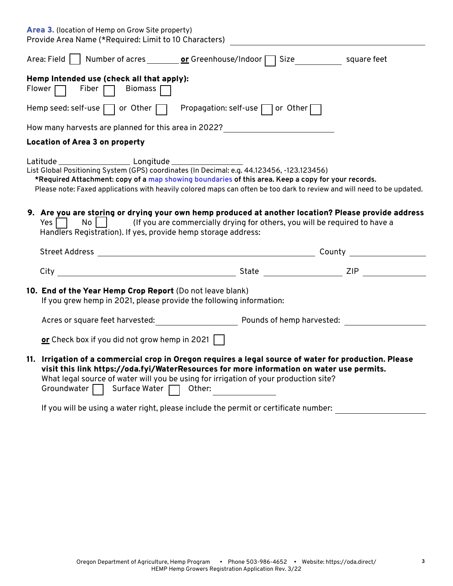| <b>Area 3.</b> (location of Hemp on Grow Site property)<br>Provide Area Name (*Required: Limit to 10 Characters)                                                                                                                                                                                                           |             |
|----------------------------------------------------------------------------------------------------------------------------------------------------------------------------------------------------------------------------------------------------------------------------------------------------------------------------|-------------|
| Area: Field │ │ Number of acres ________ or Greenhouse/Indoor ┌ ┐ Size                                                                                                                                                                                                                                                     | square feet |
| Hemp Intended use (check all that apply):<br>Flower $\Box$<br>Fiber $\Box$<br>Biomass $\Box$                                                                                                                                                                                                                               |             |
| Hemp seed: self-use $\Box$ or Other $\Box$ Propagation: self-use $\Box$ or Other $\Box$                                                                                                                                                                                                                                    |             |
| How many harvests are planned for this area in 2022?                                                                                                                                                                                                                                                                       |             |
| <b>Location of Area 3 on property</b>                                                                                                                                                                                                                                                                                      |             |
| List Global Positioning System (GPS) coordinates (In Decimal: e.g. 44.123456, -123.123456)<br>*Required Attachment: copy of a map showing boundaries of this area. Keep a copy for your records.<br>Please note: Faxed applications with heavily colored maps can often be too dark to review and will need to be updated. |             |
| 9. Are you are storing or drying your own hemp produced at another location? Please provide address<br>Yes $  \cdot  $<br>$\mathsf{No}$     (If you are commercially drying for others, you will be required to have a<br>Handlers Registration). If yes, provide hemp storage address:                                    |             |
|                                                                                                                                                                                                                                                                                                                            |             |
| City                                                                                                                                                                                                                                                                                                                       |             |
| 10. End of the Year Hemp Crop Report (Do not leave blank)<br>If you grew hemp in 2021, please provide the following information:                                                                                                                                                                                           |             |
| Acres or square feet harvested: The Pounds of hemp harvested:                                                                                                                                                                                                                                                              |             |
| or Check box if you did not grow hemp in 2021 $\vert \ \vert$                                                                                                                                                                                                                                                              |             |

If you will be using a water right, please include the permit or certificate number: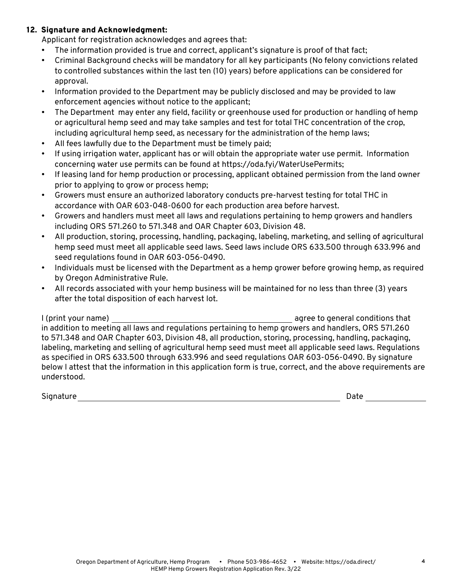## 12. Signature and Acknowledgment:

Applicant for registration acknowledges and agrees that:

- The information provided is true and correct, applicant's signature is proof of that fact;
- Criminal Background checks will be mandatory for all key participants (No felony convictions related to controlled substances within the last ten (10) years) before applications can be considered for approval.
- Information provided to the Department may be publicly disclosed and may be provided to law enforcement agencies without notice to the applicant;
- The Department may enter any field, facility or greenhouse used for production or handling of hemp or agricultural hemp seed and may take samples and test for total THC concentration of the crop, including agricultural hemp seed, as necessary for the administration of the hemp laws;
- All fees lawfully due to the Department must be timely paid;
- If using irrigation water, applicant has or will obtain the appropriate water use permit. Information concerning water use permits can be found at https://oda.fyi/WaterUsePermits;
- If leasing land for hemp production or processing, applicant obtained permission from the land owner prior to applying to grow or process hemp;
- Growers must ensure an authorized laboratory conducts pre-harvest testing for total THC in accordance with OAR 603-048-0600 for each production area before harvest.
- Growers and handlers must meet all laws and regulations pertaining to hemp growers and handlers including ORS 571.260 to 571.348 and OAR Chapter 603, Division 48.
- All production, storing, processing, handling, packaging, labeling, marketing, and selling of agricultural hemp seed must meet all applicable seed laws. Seed laws include ORS 633.500 through 633.996 and seed regulations found in OAR 603-056-0490.
- Individuals must be licensed with the Department as a hemp grower before growing hemp, as required by Oregon Administrative Rule.
- All records associated with your hemp business will be maintained for no less than three (3) years after the total disposition of each harvest lot.

I (print your name) agree to general conditions that in addition to meeting all laws and regulations pertaining to hemp growers and handlers, ORS 571.260 to 571.348 and OAR Chapter 603, Division 48, all production, storing, processing, handling, packaging, labeling, marketing and selling of agricultural hemp seed must meet all applicable seed laws. Regulations as specified in ORS 633.500 through 633.996 and seed regulations OAR 603-056-0490. By signature below I attest that the information in this application form is true, correct, and the above requirements are understood.

Signature **Date**